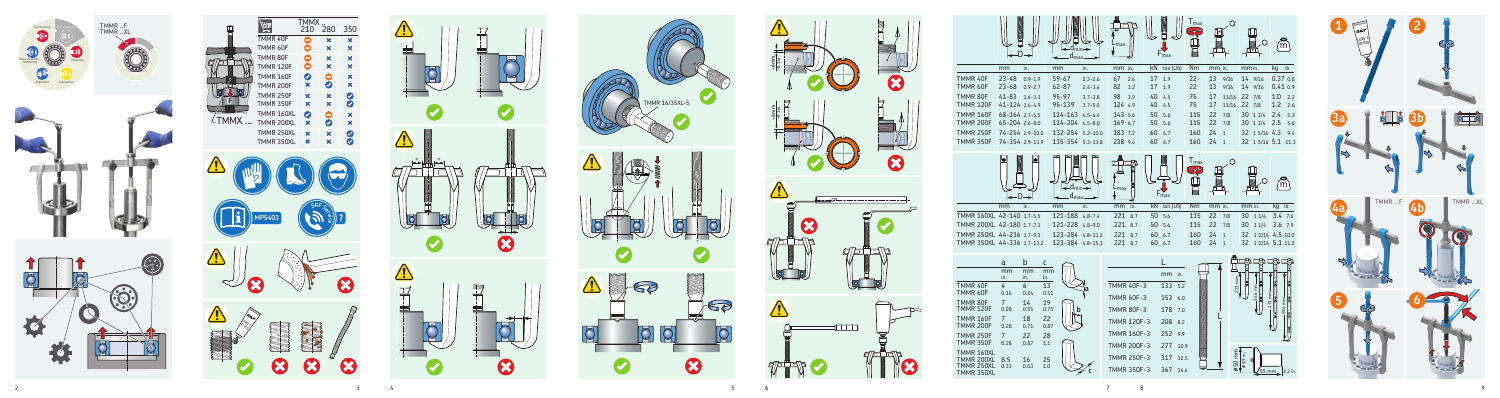













|                                                                                                                                      |                                                                                                                                                                                             | $-d_{min} \rightarrow$<br>$d_{\text{max}}$                                                     | ∟max                                                                                                    | $F_{\text{max}}$                                                          | Imax                      |                                  | O                                                                  | m                                       |
|--------------------------------------------------------------------------------------------------------------------------------------|---------------------------------------------------------------------------------------------------------------------------------------------------------------------------------------------|------------------------------------------------------------------------------------------------|---------------------------------------------------------------------------------------------------------|---------------------------------------------------------------------------|---------------------------|----------------------------------|--------------------------------------------------------------------|-----------------------------------------|
|                                                                                                                                      | mm<br>in.                                                                                                                                                                                   | in.<br>mm                                                                                      | mm in.                                                                                                  | kN<br>ton (US)                                                            | Nm                        | mm in.                           | mm in.                                                             | kg<br>$\mathsf{lb}$                     |
| TMMR 40F<br>TMMR 60F                                                                                                                 | $23 - 48$<br>$0.9 - 1.9$<br>$23 - 68$<br>$0.9 - 2.7$                                                                                                                                        | $59 - 67$<br>$2.3 - 2.6$<br>$62 - 87$<br>$2.4 - 3.4$                                           | 67<br>2.6<br>82<br>3.2                                                                                  | 17<br>1.9<br>17<br>1.9                                                    | 22<br>22                  | 13<br>9/16<br>13<br>9/16         | 14 9/16<br>14 9/16                                                 | $0.37$ $0.8$<br>0.410.9                 |
| TMMR 80F                                                                                                                             | $41 - 83$<br>$1.6 - 3.3$                                                                                                                                                                    | $95 - 97$<br>$3.7 - 3.8$                                                                       | 98<br>3.9                                                                                               | 40<br>4.5                                                                 | 75                        | 17<br>11/16                      | 22 7/8                                                             | 1.0<br>2.2                              |
| <b>TMMR 120F</b>                                                                                                                     | 41-124 1.6-4.9                                                                                                                                                                              | 95-139<br>$3.7 - 5.5$                                                                          | 124 4.9                                                                                                 | 40<br>4.5                                                                 | 75                        | 17<br>11/16                      | 22<br>7/8                                                          | 1.2<br>2.6                              |
| <b>TMMR 160F</b>                                                                                                                     | 68-164 2.7-6.5                                                                                                                                                                              | 114-163<br>$4.5 - 6.4$                                                                         | 143 5.6                                                                                                 | 50<br>5.6                                                                 | 115                       | 22<br>7/8                        | 30<br>11/4                                                         | 2.4<br>5.2                              |
| <b>TMMR 200F</b><br><b>TMMR 250F</b>                                                                                                 | 65-204 2.6-8.0<br>74-254 2.9-10.0                                                                                                                                                           | 114-204 4.5-8.0<br>132-254 5.2-10.0                                                            | 169 6.7<br>183 7.2                                                                                      | 50<br>5.6<br>60<br>6.7                                                    | 115<br>160                | 22<br>7/8<br>24<br>$\mathbf{1}$  | 30<br>11/4<br>32 15/16 4.3                                         | 2.5<br>5.6<br>9.4                       |
| <b>TMMR 350F</b>                                                                                                                     | 74-354 2.9-13.9                                                                                                                                                                             | 135-354 5.3-13.8                                                                               | 238 9.4                                                                                                 | 60<br>6.7                                                                 | 160                       | 24<br>$\mathbf{1}$               | 32 15/16 5.1                                                       | 11.3                                    |
|                                                                                                                                      | in.<br>mm<br>TMMR 160XL 42-140 1.7-5.5<br>TMMR 200XL 42-180 1.7-7.1                                                                                                                         | $-d_{min} \rightarrow$<br>$-d_{\text{max}}$<br>in.<br>mm<br>121-188 4.8-7.4<br>121-228 4.8-9.0 | -max<br>in.<br>mm<br>221<br>8.7<br>221<br>8.7                                                           | $F_{\text{max}}$<br>kN<br>ton (US)<br>50<br>5.6<br>50<br>5.6              | I max<br>Nm<br>115<br>115 | mm in.<br>22<br>7/8<br>22<br>7/8 | mm in.<br>30<br>11/4<br>30<br>11/4                                 | m<br>kg<br>lb<br>$3.4$ 7.6<br>$3.6$ 7.9 |
|                                                                                                                                      | TMMR 250XL 44-236 1.7-9.3                                                                                                                                                                   | 123-284 4.8-11.2                                                                               | 221<br>8.7                                                                                              | 60<br>6.7                                                                 | 160                       | 24<br>$\mathbf{1}$               | 32                                                                 | 1 5/16 4.5 10.0                         |
|                                                                                                                                      | TMMR 350XL 44-336 1.7-13.2                                                                                                                                                                  | 123-384 4.8-15.1                                                                               | 221<br>8.7                                                                                              | 60<br>6.7                                                                 | 160                       | 24<br>$\mathbf{1}$               | 32 15/16 5.1 11.2                                                  |                                         |
| TMMR 40F<br><b>TMMR 60F</b><br>TMMR 80F<br><b>TMMR 120F</b><br><b>TMMR 160F</b><br><b>TMMR 200F</b><br><b>TMMR 250F</b><br>TMMR 350F | $\mathbf b$<br>a<br>С<br>mm<br>mm<br>in.<br>in.<br>in.<br>6<br>4<br>0.24<br>0.16<br>$\overline{7}$<br>14<br>0.28<br>0.55<br>18<br>7<br>0.28<br>0.71<br>22<br>$\overline{7}$<br>0.28<br>0.87 | mm<br>13<br>0.51<br>19<br>0.75<br>b<br>22<br>0.87<br>28<br>$1.1\,$                             | <b>TMMR 40F-3</b><br><b>TMMR 60F-3</b><br><b>TMMR 80F-3</b><br><b>TMMR 120F-3</b><br><b>TMMR 160F-3</b> | mm<br>in.<br>133<br>5.2<br>153<br>6.0<br>178<br>7.0<br>208 8.2<br>252 9.9 |                           | 221 mm                           | mm<br>346                                                          | mm                                      |
| TMMR 160XL<br>TMMR 200XL<br>TMMR 250XL<br>TMMR 350XL                                                                                 | 8.5<br>16<br>0.33<br>0.63                                                                                                                                                                   | 25<br>$1.0$                                                                                    | <b>TMMR 200F-3</b><br><b>TMMR 250F-3</b><br><b>TMMR 350F-3</b>                                          | 277<br>10.9<br>317<br>12.5<br>367 14.4                                    |                           |                                  | $\frac{\cancel{650} \text{mm}}{\cancel{61.9} \text{in.}}$<br>55 mm | 2.2 in.                                 |

|                                                      | mm<br>in.      | mm<br>in.  | mm<br>in. |   |
|------------------------------------------------------|----------------|------------|-----------|---|
| TMMR 40F                                             | 4              | 6          | 13        |   |
| TMMR 60F                                             | 0.16           | 0.24       | 0.51      |   |
| TMMR 80F                                             | 7              | 14         | 19        | b |
| <b>TMMR 120F</b>                                     | 0.28           | 0.55       | 0.75      |   |
| <b>TMMR 160F</b>                                     | 7              | 18         | 22        |   |
| <b>TMMR 200F</b>                                     | 0.28           | 0.71       | 0.87      |   |
| <b>TMMR 250F</b>                                     | $\overline{7}$ | 22         | 28        |   |
| <b>TMMR 350F</b>                                     | 0.28           | 0.87       | 1.1       |   |
| TMMR 160XL<br>TMMR 200XL<br>TMMR 250XL<br>TMMR 350XL | 8.5<br>0.33    | 16<br>0.63 | 25<br>1.0 |   |

| 80 1.7-7.1<br>36 1.7-9.3 |                   | 121-228 4.8-9.0 | 123-284 4.8-11.2 |
|--------------------------|-------------------|-----------------|------------------|
| 36 1.7-13.2              |                   |                 | 123-384 4.8-15.1 |
| b<br>mm                  | с<br>mm           |                 |                  |
| in.<br>6<br>0.24         | in.<br>13<br>0.51 |                 | a                |
| 14<br>0.55               | 19<br>0.75        |                 |                  |
| 18<br>0.71               | 22<br>0.87        |                 |                  |
| 22<br>0.87               | 28<br>1.1         |                 |                  |
| 16                       | 25                |                 |                  |